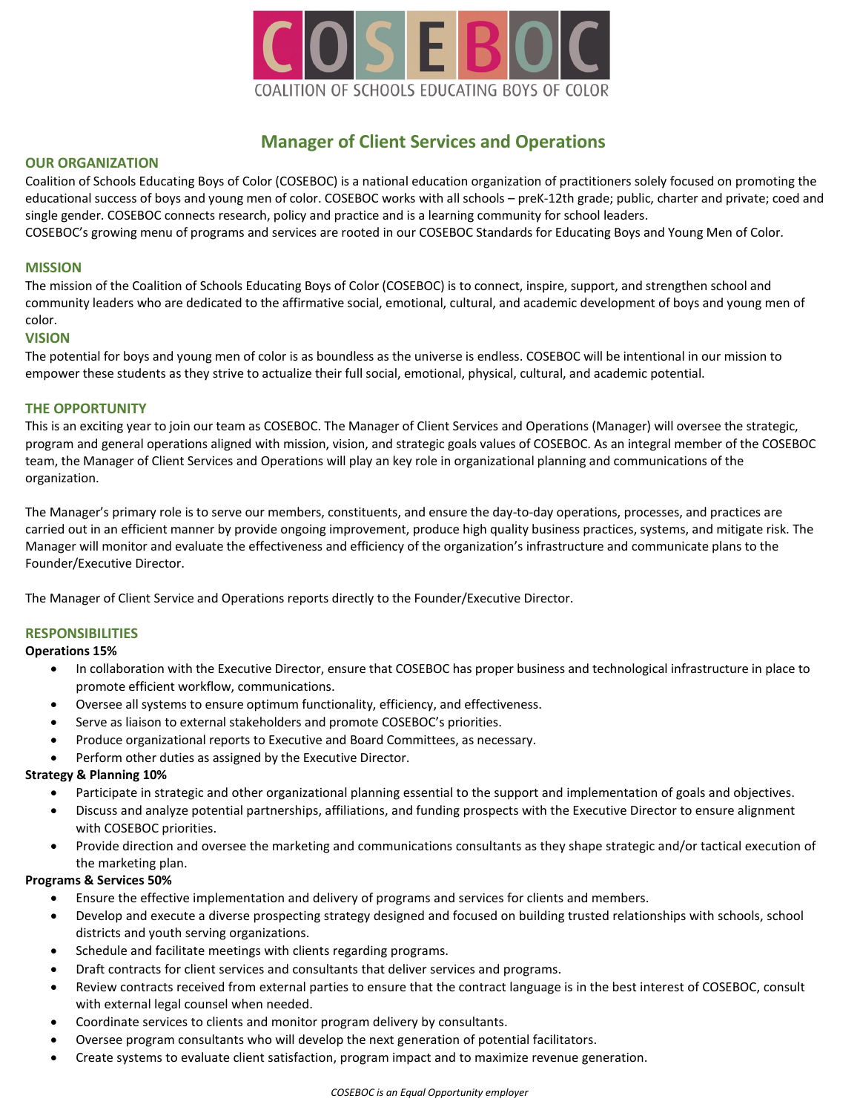

# **Manager of Client Services and Operations**

## **OUR ORGANIZATION**

Coalition of Schools Educating Boys of Color (COSEBOC) is a national education organization of practitioners solely focused on promoting the educational success of boys and young men of color. COSEBOC works with all schools – preK-12th grade; public, charter and private; coed and single gender. COSEBOC connects research, policy and practice and is a learning community for school leaders. COSEBOC's growing menu of programs and services are rooted in our COSEBOC Standards for Educating Boys and Young Men of Color.

#### **MISSION**

The mission of the Coalition of Schools Educating Boys of Color (COSEBOC) is to connect, inspire, support, and strengthen school and community leaders who are dedicated to the affirmative social, emotional, cultural, and academic development of boys and young men of color.

## **VISION**

The potential for boys and young men of color is as boundless as the universe is endless. COSEBOC will be intentional in our mission to empower these students as they strive to actualize their full social, emotional, physical, cultural, and academic potential.

## **THE OPPORTUNITY**

This is an exciting year to join our team as COSEBOC. The Manager of Client Services and Operations (Manager) will oversee the strategic, program and general operations aligned with mission, vision, and strategic goals values of COSEBOC. As an integral member of the COSEBOC team, the Manager of Client Services and Operations will play an key role in organizational planning and communications of the organization.

The Manager's primary role is to serve our members, constituents, and ensure the day-to-day operations, processes, and practices are carried out in an efficient manner by provide ongoing improvement, produce high quality business practices, systems, and mitigate risk. The Manager will monitor and evaluate the effectiveness and efficiency of the organization's infrastructure and communicate plans to the Founder/Executive Director.

The Manager of Client Service and Operations reports directly to the Founder/Executive Director.

## **RESPONSIBILITIES**

## **Operations 15%**

- In collaboration with the Executive Director, ensure that COSEBOC has proper business and technological infrastructure in place to promote efficient workflow, communications.
- Oversee all systems to ensure optimum functionality, efficiency, and effectiveness.
- Serve as liaison to external stakeholders and promote COSEBOC's priorities.
- Produce organizational reports to Executive and Board Committees, as necessary.
- Perform other duties as assigned by the Executive Director.

## **Strategy & Planning 10%**

- Participate in strategic and other organizational planning essential to the support and implementation of goals and objectives.
- Discuss and analyze potential partnerships, affiliations, and funding prospects with the Executive Director to ensure alignment with COSEBOC priorities.
- Provide direction and oversee the marketing and communications consultants as they shape strategic and/or tactical execution of the marketing plan.

## **Programs & Services 50%**

- Ensure the effective implementation and delivery of programs and services for clients and members.
- Develop and execute a diverse prospecting strategy designed and focused on building trusted relationships with schools, school districts and youth serving organizations.
- Schedule and facilitate meetings with clients regarding programs.
- Draft contracts for client services and consultants that deliver services and programs.
- Review contracts received from external parties to ensure that the contract language is in the best interest of COSEBOC, consult with external legal counsel when needed.
- Coordinate services to clients and monitor program delivery by consultants.
- Oversee program consultants who will develop the next generation of potential facilitators.
- Create systems to evaluate client satisfaction, program impact and to maximize revenue generation.